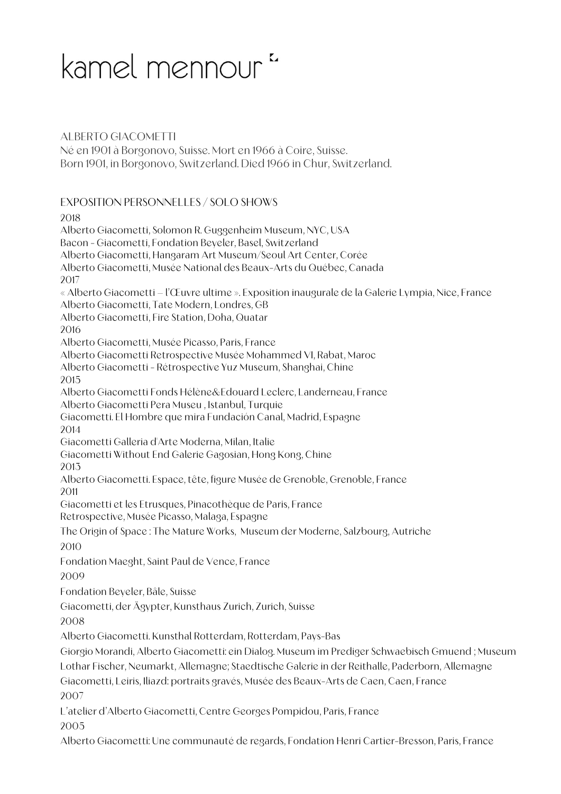## kamel mennour<sup>"</sup>

## ALBERTO GIACOMETTI

Né en 1901 à Borgonovo, Suisse. Mort en 1966 à Coire, Suisse. Born 1901, in Borgonovo, Switzerland. Died 1966 in Chur, Switzerland.

EXPOSITION PERSONNELLES / SOLO SHOWS

## 2018

Alberto Giacometti, Solomon R. Guggenheim Museum, NYC, USA Bacon - Giacometti, Fondation Beyeler, Basel, Switzerland Alberto Giacometti, Hangaram Art Museum/Seoul Art Center, Corée Alberto Giacometti, Musée National des Beaux-Arts du Québec, Canada 2017 « Alberto Giacometti – l'Œuvre ultime ». Exposition inaugurale de la Galerie Lympia, Nice, France Alberto Giacometti, Tate Modern, Londres, GB Alberto Giacometti, Fire Station, Doha, Quatar 2016 Alberto Giacometti, Musée Picasso, Paris, France Alberto Giacometti Retrospective Musée Mohammed VI, Rabat, Maroc Alberto Giacometti - Rétrospective Yuz Museum, Shanghai, Chine 2015 Alberto Giacometti Fonds Hélène&Edouard Leclerc, Landerneau, France Alberto Giacometti Pera Museu , Istanbul, Turquie Giacometti. El Hombre que mira Fundación Canal, Madrid, Espagne 2014 Giacometti Galleria d'Arte Moderna, Milan, Italie Giacometti Without End Galerie Gagosian, Hong Kong, Chine 2013 Alberto Giacometti. Espace, tête, figure Musée de Grenoble, Grenoble, France 2011 Giacometti et les Etrusques, Pinacothèque de Paris, France Retrospective, Musée Picasso, Malaga, Espagne The Origin of Space : The Mature Works, Museum der Moderne, Salzbourg, Autriche 2010 Fondation Maeght, Saint Paul de Vence, France 2009 Fondation Beyeler, Bâle, Suisse Giacometti, der Ägypter, Kunsthaus Zurich, Zurich, Suisse 2008 Alberto Giacometti. Kunsthal Rotterdam, Rotterdam, Pays-Bas Giorgio Morandi, Alberto Giacometti: ein Dialog. Museum im Prediger Schwaebisch Gmuend ; Museum Lothar Fischer, Neumarkt, Allemagne; Staedtische Galerie in der Reithalle, Paderborn, Allemagne Giacometti, Leiris, Iliazd: portraits gravés, Musée des Beaux-Arts de Caen, Caen, France 2007 L'atelier d'Alberto Giacometti, Centre Georges Pompidou, Paris, France 2005

Alberto Giacometti: Une communauté de regards, Fondation Henri Cartier-Bresson, Paris, France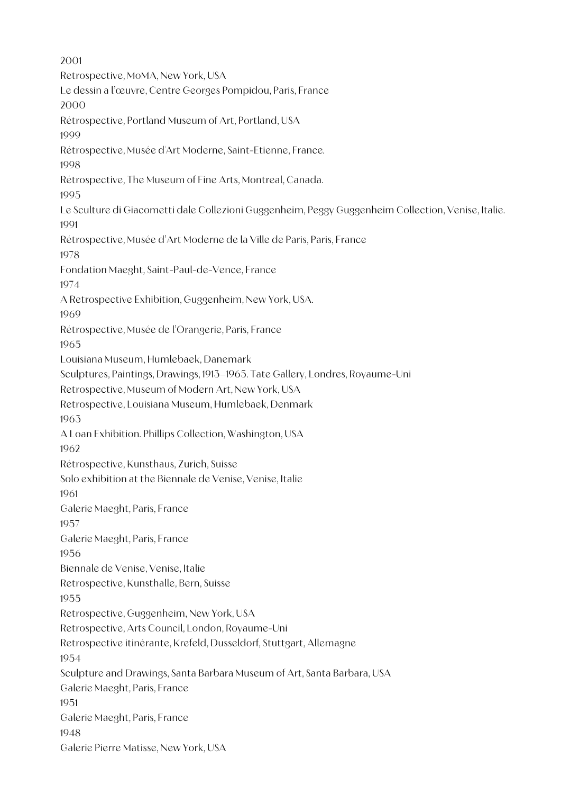2001 Retrospective, MoMA, New York, USA Le dessin a l'œuvre, Centre Georges Pompidou, Paris, France 2000 Rétrospective, Portland Museum of Art, Portland, USA 1999 Rétrospective, Musée d'Art Moderne, Saint-Etienne, France. 1998 Rétrospective, The Museum of Fine Arts, Montreal, Canada. 1995 Le Sculture di Giacometti dale Collezioni Guggenheim, Peggy Guggenheim Collection, Venise, Italie. 1991 Rétrospective, Musée d'Art Moderne de la Ville de Paris, Paris, France 1978 Fondation Maeght, Saint-Paul-de-Vence, France 1974 A Retrospective Exhibition, Guggenheim, New York, USA. 1969 Rétrospective, Musée de l'Orangerie, Paris, France 1965 Louisiana Museum, Humlebaek, Danemark Sculptures, Paintings, Drawings, 1913–1965. Tate Gallery, Londres, Royaume-Uni Retrospective, Museum of Modern Art, New York, USA Retrospective, Louisiana Museum, Humlebaek, Denmark 1963 A Loan Exhibition. Phillips Collection, Washington, USA 1962 Rétrospective, Kunsthaus, Zurich, Suisse Solo exhibition at the Biennale de Venise, Venise, Italie 1961 Galerie Maeght, Paris, France 1957 Galerie Maeght, Paris, France 1956 Biennale de Venise, Venise, Italie Retrospective, Kunsthalle, Bern, Suisse 1955 Retrospective, Guggenheim, New York, USA Retrospective, Arts Council, London, Royaume-Uni Retrospective itinérante, Krefeld, Dusseldorf, Stuttgart, Allemagne 1954 Sculpture and Drawings, Santa Barbara Museum of Art, Santa Barbara, USA Galerie Maeght, Paris, France 1951 Galerie Maeght, Paris, France 1948 Galerie Pierre Matisse, New York, USA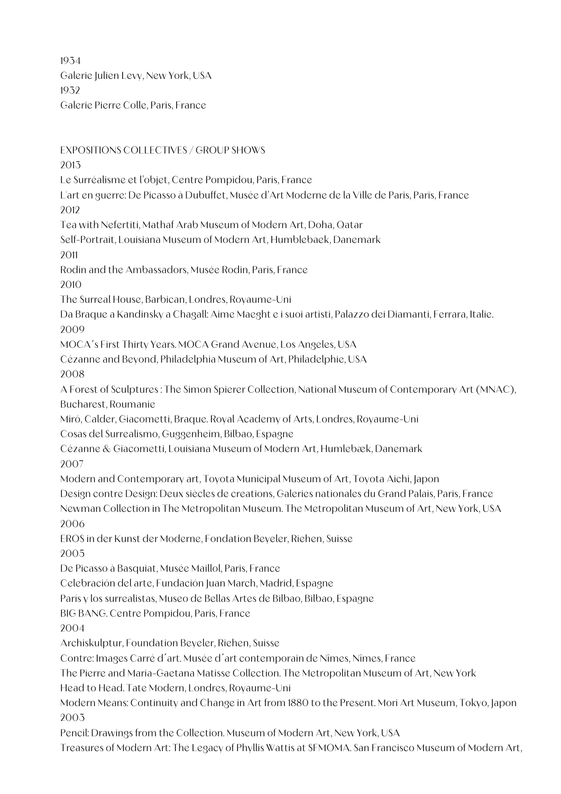1934 Galerie Julien Levy, New York, USA 1932 Galerie Pierre Colle, Paris, France

EXPOSITIONS COLLECTIVES / GROUP SHOWS 2013 Le Surréalisme et l'objet, Centre Pompidou, Paris, France L'art en guerre: De Picasso à Dubuffet, Musée d'Art Moderne de la Ville de Paris, Paris, France 2012 Tea with Nefertiti, Mathaf Arab Museum of Modern Art, Doha, Qatar Self-Portrait, Louisiana Museum of Modern Art, Humblebaek, Danemark 2011 Rodin and the Ambassadors, Musée Rodin, Paris, France 2010 The Surreal House, Barbican, Londres, Royaume-Uni Da Braque a Kandinsky a Chagall: Aime Maeght e i suoi artisti, Palazzo dei Diamanti, Ferrara, Italie. 2009 MOCA´s First Thirty Years. MOCA Grand Avenue, Los Angeles, USA Cézanne and Beyond, Philadelphia Museum of Art, Philadelphie, USA 2008 A Forest of Sculptures : The Simon Spierer Collection, National Museum of Contemporary Art (MNAC), Bucharest, Roumanie Miró, Calder, Giacometti, Braque. Royal Academy of Arts, Londres, Royaume-Uni Cosas del Surrealismo, Guggenheim, Bilbao, Espagne Cézanne & Giacometti, Louisiana Museum of Modern Art, Humlebæk, Danemark 2007 Modern and Contemporary art, Toyota Municipal Museum of Art, Toyota Aichi, Japon Design contre Design: Deux siècles de creations, Galeries nationales du Grand Palais, Paris, France Newman Collection in The Metropolitan Museum. The Metropolitan Museum of Art, New York, USA 2006 EROS in der Kunst der Moderne, Fondation Beyeler, Riehen, Suisse 2005 De Picasso à Basquiat, Musée Maillol, Paris, France Celebración del arte, Fundación Juan March, Madrid, Espagne París y los surrealistas, Museo de Bellas Artes de Bilbao, Bilbao, Espagne BIG BANG. Centre Pompidou, Paris, France 2004 Archiskulptur, Foundation Beyeler, Riehen, Suisse Contre: Images Carré d´art. Musée d´art contemporain de Nîmes, Nîmes, France The Pierre and Maria-Gaetana Matisse Collection. The Metropolitan Museum of Art, New York Head to Head. Tate Modern, Londres, Royaume-Uni Modern Means: Continuity and Change in Art from 1880 to the Present. Mori Art Museum, Tokyo, Japon 2003 Pencil: Drawings from the Collection. Museum of Modern Art, New York, USA Treasures of Modern Art: The Legacy of Phyllis Wattis at SFMOMA. San Francisco Museum of Modern Art,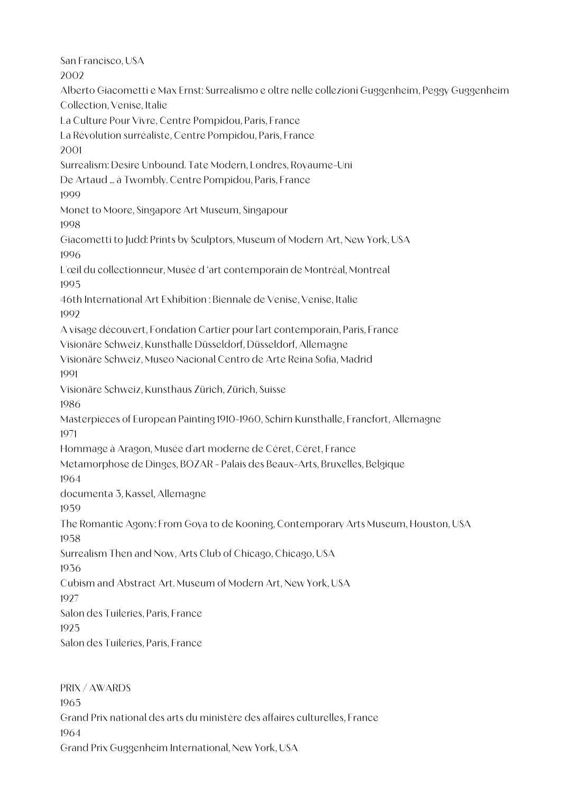San Francisco, USA 2002 Alberto Giacometti e Max Ernst: Surrealismo e oltre nelle collezioni Guggenheim, Peggy Guggenheim Collection, Venise, Italie La Culture Pour Vivre, Centre Pompidou, Paris, France La Révolution surréaliste, Centre Pompidou, Paris, France 2001 Surrealism: Desire Unbound. Tate Modern, Londres, Royaume-Uni De Artaud ... à Twombly. Centre Pompidou, Paris, France 1999 Monet to Moore, Singapore Art Museum, Singapour 1998 Giacometti to Judd: Prints by Sculptors, Museum of Modern Art, New York, USA 1996 L'œil du collectionneur, Musée d 'art contemporain de Montréal, Montreal 1995 46th International Art Exhibition : Biennale de Venise, Venise, Italie 1992 A visage découvert, Fondation Cartier pour l'art contemporain, Paris, France Visionäre Schweiz, Kunsthalle Düsseldorf, Düsseldorf, Allemagne Visionäre Schweiz, Museo Nacional Centro de Arte Reina Sofia, Madrid 1991 Visionäre Schweiz, Kunsthaus Zürich, Zürich, Suisse 1986 Masterpieces of European Painting 1910-1960, Schirn Kunsthalle, Francfort, Allemagne 1971 Hommage à Aragon, Musée d'art moderne de Céret, Céret, France Metamorphose de Dinges, BOZAR - Palais des Beaux-Arts, Bruxelles, Belgique 1964 documenta 3, Kassel, Allemagne 1959 The Romantic Agony: From Goya to de Kooning, Contemporary Arts Museum, Houston, USA 1958 Surrealism Then and Now, Arts Club of Chicago, Chicago, USA 1936 Cubism and Abstract Art. Museum of Modern Art, New York, USA 1927 Salon des Tuileries, Paris, France 1925 Salon des Tuileries, Paris, France

PRIX / AWARDS 1965 Grand Prix national des arts du ministère des affaires culturelles, France 1964 Grand Prix Guggenheim International, New York, USA